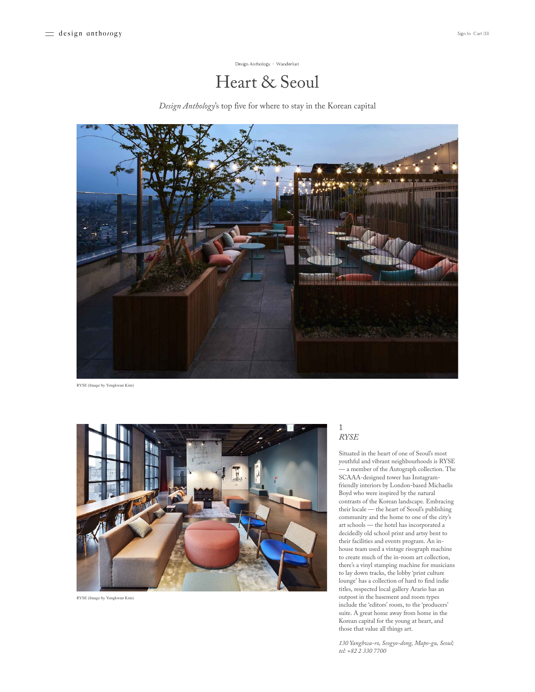[Design Anthology](https://designanthologymag.com/story/?author=5ac351d36d2a737c80053449) · [Wanderlust](https://designanthologymag.com/story/?category=Wanderlust)

# Heart & Seoul

*Design Anthology*'s top five for where to stay in the Korean capital



RYSE (Image by Yongkwan Kim)



RYSE (Image by Yongkwan Kim)

#### 1 *RYSE*

Situated in the heart of one of Seoul's most youthful and vibrant neighbourhoods is RYSE — a member of the Autograph collection. The SCAAA-designed tower has Instagramfriendly interiors by London-based Michaelis Boyd who were inspired by the natural contrasts of the Korean landscape. Embracing their locale — the heart of Seoul's publishing community and the home to one of the city's art schools — the hotel has incorporated a decidedly old school print and artsy bent to their facilities and events program. An inhouse team used a vintage risograph machine to create much of the in-room art collection, there's a vinyl stamping machine for musicians to lay down tracks, the lobby 'print culture lounge' has a collection of hard to find indie titles, respected local gallery Arario has an outpost in the basement and room types include the 'editors' room, to the 'producers' suite. A great home away from home in the Korean capital for the young at heart, and those that value all things art.

*130 Yanghwa-ro, Seogyo-dong, Mapo-gu, Seoul; tel: +82 2 330 7700*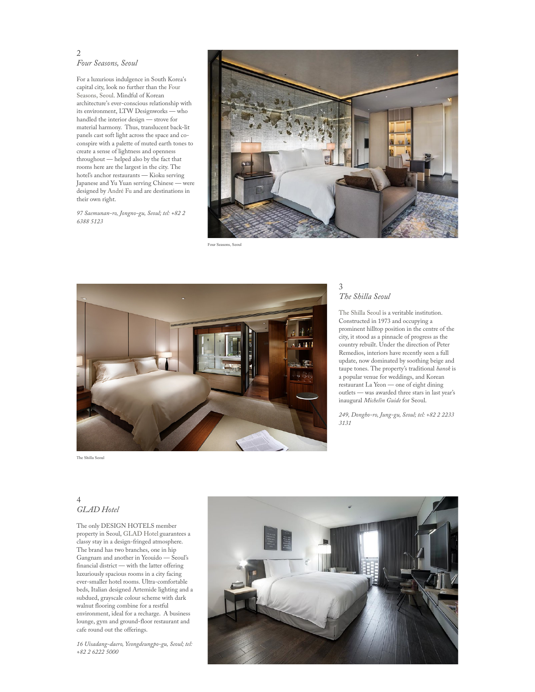### 2 *Four Seasons, Seoul*

For a luxurious indulgence in South Korea's capital city, look no further than the Four [Seasons,](https://www.fourseasons.com/seoul/) Seoul. Mindful of Korean architecture's ever-conscious relationship with its environment, LTW Designworks — who handled the interior design — strove for material harmony. Thus, translucent back-lit panels cast soft light across the space and coconspire with a palette of muted earth tones to create a sense of lightness and openness throughout — helped also by the fact that rooms here are the largest in the city. The hotel's anchor restaurants — Kioku serving Japanese and Yu Yuan serving Chinese — were designed by [André](http://afso.net/) Fu and are destinations in their own right.

*97 Saemunan-ro, Jongno-gu, Seoul; tel: +82 2 6388 5123*



Four Seasons, Seoul



# *The Shilla Seoul*

3

The [Shilla](https://www.shillahotels.com/index.do?lang=en) Seoul is a veritable institution. Constructed in 1973 and occupying a prominent hilltop position in the centre of the city, it stood as a pinnacle of progress as the country rebuilt. Under the direction of Peter Remedios, interiors have recently seen a full update, now dominated by soothing beige and taupe tones. The property's traditional *hanok* is a popular venue for weddings, and Korean restaurant La Yeon — one of eight dining outlets — was awarded three stars in last year's inaugural *Michelin Guide* for Seoul.

*249, Dongho-ro, Jung-gu, Seoul; tel: +82 2 2233 3131*

The Shilla Seoul

# $\Delta$ *GLAD Hotel*

The only DESIGN HOTELS member property in Seoul, [GLAD](http://www.glad-hotels.com/eng/index.do) Hotel guarantees a classy stay in a design-fringed atmosphere. The brand has two branches, one in hip Gangnam and another in Yeouido — Seoul's financial district — with the latter offering luxuriously spacious rooms in a city facing ever-smaller hotel rooms. Ultra-comfortable beds, Italian designed Artemide lighting and a subdued, grayscale colour scheme with dark walnut flooring combine for a restful environment, ideal for a recharge. A business lounge, gym and ground-floor restaurant and cafe round out the offerings.

*16 Uisadang-daero, Yeongdeungpo-gu, Seoul; tel: +82 2 6222 5000*